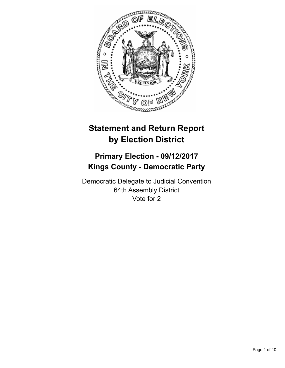

# **Statement and Return Report by Election District**

## **Primary Election - 09/12/2017 Kings County - Democratic Party**

Democratic Delegate to Judicial Convention 64th Assembly District Vote for 2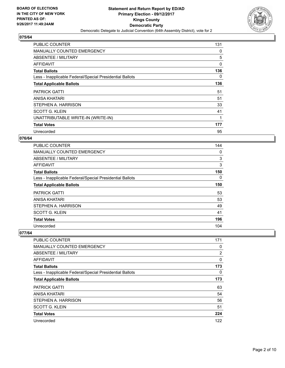

| <b>PUBLIC COUNTER</b>                                    | 131 |
|----------------------------------------------------------|-----|
| <b>MANUALLY COUNTED EMERGENCY</b>                        | 0   |
| ABSENTEE / MILITARY                                      | 5   |
| AFFIDAVIT                                                | 0   |
| <b>Total Ballots</b>                                     | 136 |
| Less - Inapplicable Federal/Special Presidential Ballots | 0   |
| <b>Total Applicable Ballots</b>                          | 136 |
| <b>PATRICK GATTI</b>                                     | 51  |
| ANISA KHATARI                                            | 51  |
|                                                          |     |
| STEPHEN A. HARRISON                                      | 33  |
| <b>SCOTT G. KLEIN</b>                                    | 41  |
| UNATTRIBUTABLE WRITE-IN (WRITE-IN)                       |     |
| <b>Total Votes</b>                                       | 177 |

#### **076/64**

| <b>PUBLIC COUNTER</b>                                    | 144 |
|----------------------------------------------------------|-----|
| <b>MANUALLY COUNTED EMERGENCY</b>                        | 0   |
| ABSENTEE / MILITARY                                      | 3   |
| AFFIDAVIT                                                | 3   |
| <b>Total Ballots</b>                                     | 150 |
| Less - Inapplicable Federal/Special Presidential Ballots | 0   |
| <b>Total Applicable Ballots</b>                          | 150 |
| <b>PATRICK GATTI</b>                                     | 53  |
| ANISA KHATARI                                            | 53  |
| STEPHEN A. HARRISON                                      | 49  |
| <b>SCOTT G. KLEIN</b>                                    | 41  |
| <b>Total Votes</b>                                       | 196 |
| Unrecorded                                               | 104 |

| PUBLIC COUNTER                                           | 171            |
|----------------------------------------------------------|----------------|
| <b>MANUALLY COUNTED EMERGENCY</b>                        | 0              |
| ABSENTEE / MILITARY                                      | $\overline{2}$ |
| <b>AFFIDAVIT</b>                                         | 0              |
| <b>Total Ballots</b>                                     | 173            |
| Less - Inapplicable Federal/Special Presidential Ballots | 0              |
| <b>Total Applicable Ballots</b>                          | 173            |
| <b>PATRICK GATTI</b>                                     | 63             |
| <b>ANISA KHATARI</b>                                     | 54             |
| STEPHEN A. HARRISON                                      | 56             |
| <b>SCOTT G. KLEIN</b>                                    | 51             |
| <b>Total Votes</b>                                       | 224            |
| Unrecorded                                               | 122            |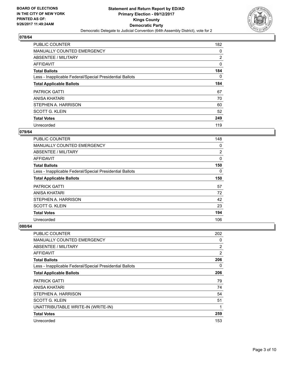

| <b>PUBLIC COUNTER</b>                                    | 182            |
|----------------------------------------------------------|----------------|
| MANUALLY COUNTED EMERGENCY                               | 0              |
| ABSENTEE / MILITARY                                      | $\overline{2}$ |
| <b>AFFIDAVIT</b>                                         | 0              |
| <b>Total Ballots</b>                                     | 184            |
| Less - Inapplicable Federal/Special Presidential Ballots | 0              |
| <b>Total Applicable Ballots</b>                          | 184            |
| <b>PATRICK GATTI</b>                                     | 67             |
| <b>ANISA KHATARI</b>                                     | 70             |
| STEPHEN A. HARRISON                                      | 60             |
| <b>SCOTT G. KLEIN</b>                                    | 52             |
| <b>Total Votes</b>                                       | 249            |
| Unrecorded                                               | 119            |

## **079/64**

| PUBLIC COUNTER                                           | 148 |
|----------------------------------------------------------|-----|
| <b>MANUALLY COUNTED EMERGENCY</b>                        | 0   |
| ABSENTEE / MILITARY                                      | 2   |
| <b>AFFIDAVIT</b>                                         | 0   |
| <b>Total Ballots</b>                                     | 150 |
| Less - Inapplicable Federal/Special Presidential Ballots | 0   |
| <b>Total Applicable Ballots</b>                          | 150 |
| <b>PATRICK GATTI</b>                                     | 57  |
| ANISA KHATARI                                            | 72  |
| STEPHEN A. HARRISON                                      | 42  |
| <b>SCOTT G. KLEIN</b>                                    | 23  |
| <b>Total Votes</b>                                       | 194 |
| Unrecorded                                               | 106 |

| <b>PUBLIC COUNTER</b>                                    | 202            |
|----------------------------------------------------------|----------------|
| <b>MANUALLY COUNTED EMERGENCY</b>                        | 0              |
| ABSENTEE / MILITARY                                      | $\overline{2}$ |
| AFFIDAVIT                                                | $\overline{2}$ |
| <b>Total Ballots</b>                                     | 206            |
| Less - Inapplicable Federal/Special Presidential Ballots | 0              |
| <b>Total Applicable Ballots</b>                          | 206            |
| <b>PATRICK GATTI</b>                                     | 79             |
| ANISA KHATARI                                            | 74             |
| STEPHEN A. HARRISON                                      | 54             |
| SCOTT G. KLEIN                                           | 51             |
| UNATTRIBUTABLE WRITE-IN (WRITE-IN)                       | 1              |
| <b>Total Votes</b>                                       | 259            |
| Unrecorded                                               | 153            |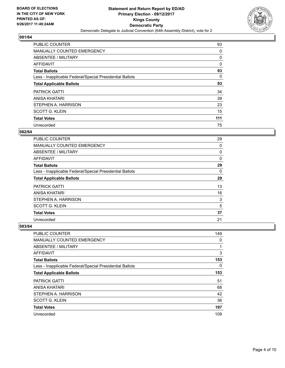

| <b>PUBLIC COUNTER</b>                                    | 93  |
|----------------------------------------------------------|-----|
| MANUALLY COUNTED EMERGENCY                               | 0   |
| ABSENTEE / MILITARY                                      | 0   |
| AFFIDAVIT                                                | 0   |
| <b>Total Ballots</b>                                     | 93  |
| Less - Inapplicable Federal/Special Presidential Ballots | 0   |
| <b>Total Applicable Ballots</b>                          | 93  |
| <b>PATRICK GATTI</b>                                     | 34  |
| <b>ANISA KHATARI</b>                                     | 39  |
| STEPHEN A. HARRISON                                      | 23  |
| <b>SCOTT G. KLEIN</b>                                    | 15  |
| <b>Total Votes</b>                                       | 111 |
| Unrecorded                                               | 75  |

#### **082/64**

| PUBLIC COUNTER                                           | 29       |
|----------------------------------------------------------|----------|
| <b>MANUALLY COUNTED EMERGENCY</b>                        | 0        |
| ABSENTEE / MILITARY                                      | 0        |
| AFFIDAVIT                                                | 0        |
| <b>Total Ballots</b>                                     | 29       |
| Less - Inapplicable Federal/Special Presidential Ballots | $\Omega$ |
| <b>Total Applicable Ballots</b>                          | 29       |
| <b>PATRICK GATTI</b>                                     | 13       |
| ANISA KHATARI                                            | 16       |
| STEPHEN A. HARRISON                                      | 3        |
| <b>SCOTT G. KLEIN</b>                                    | 5        |
| <b>Total Votes</b>                                       | 37       |
| Unrecorded                                               | 21       |

| PUBLIC COUNTER                                           | 149 |
|----------------------------------------------------------|-----|
| MANUALLY COUNTED EMERGENCY                               | 0   |
| ABSENTEE / MILITARY                                      | 1   |
| AFFIDAVIT                                                | 3   |
| <b>Total Ballots</b>                                     | 153 |
| Less - Inapplicable Federal/Special Presidential Ballots | 0   |
| <b>Total Applicable Ballots</b>                          | 153 |
| <b>PATRICK GATTI</b>                                     | 51  |
| ANISA KHATARI                                            | 68  |
| STEPHEN A. HARRISON                                      | 42  |
| <b>SCOTT G. KLEIN</b>                                    | 36  |
| <b>Total Votes</b>                                       | 197 |
| Unrecorded                                               | 109 |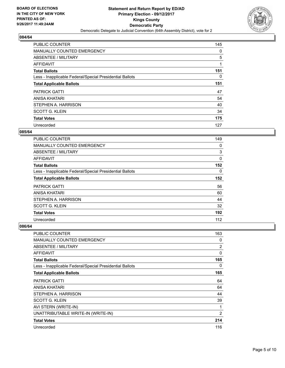

| <b>PUBLIC COUNTER</b>                                    | 145 |
|----------------------------------------------------------|-----|
| MANUALLY COUNTED EMERGENCY                               | 0   |
| ABSENTEE / MILITARY                                      | 5   |
| <b>AFFIDAVIT</b>                                         |     |
| <b>Total Ballots</b>                                     | 151 |
| Less - Inapplicable Federal/Special Presidential Ballots | 0   |
| <b>Total Applicable Ballots</b>                          | 151 |
| <b>PATRICK GATTI</b>                                     | 47  |
| <b>ANISA KHATARI</b>                                     | 54  |
| STEPHEN A. HARRISON                                      | 40  |
| <b>SCOTT G. KLEIN</b>                                    | 34  |
| <b>Total Votes</b>                                       | 175 |
| Unrecorded                                               | 127 |

#### **085/64**

| <b>PUBLIC COUNTER</b>                                    | 149      |
|----------------------------------------------------------|----------|
| <b>MANUALLY COUNTED EMERGENCY</b>                        | 0        |
| ABSENTEE / MILITARY                                      | 3        |
| AFFIDAVIT                                                | 0        |
| <b>Total Ballots</b>                                     | 152      |
| Less - Inapplicable Federal/Special Presidential Ballots | $\Omega$ |
| <b>Total Applicable Ballots</b>                          | 152      |
| <b>PATRICK GATTI</b>                                     | 56       |
| ANISA KHATARI                                            | 60       |
| STEPHEN A. HARRISON                                      | 44       |
| <b>SCOTT G. KLEIN</b>                                    | 32       |
| <b>Total Votes</b>                                       | 192      |
| Unrecorded                                               | 112      |

| PUBLIC COUNTER                                           | 163            |
|----------------------------------------------------------|----------------|
| <b>MANUALLY COUNTED EMERGENCY</b>                        | 0              |
| <b>ABSENTEE / MILITARY</b>                               | $\overline{2}$ |
| AFFIDAVIT                                                | 0              |
| <b>Total Ballots</b>                                     | 165            |
| Less - Inapplicable Federal/Special Presidential Ballots | 0              |
| <b>Total Applicable Ballots</b>                          | 165            |
| <b>PATRICK GATTI</b>                                     | 64             |
| ANISA KHATARI                                            | 64             |
| STEPHEN A. HARRISON                                      | 44             |
| <b>SCOTT G. KLEIN</b>                                    | 39             |
| AVI STERN (WRITE-IN)                                     | 1              |
| UNATTRIBUTABLE WRITE-IN (WRITE-IN)                       | 2              |
| <b>Total Votes</b>                                       | 214            |
| Unrecorded                                               | 116            |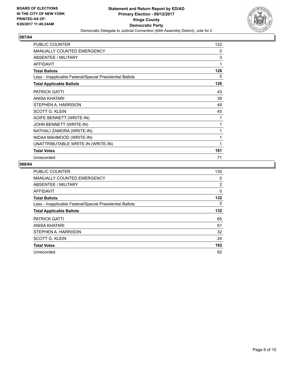

| <b>PUBLIC COUNTER</b>                                    | 122 |
|----------------------------------------------------------|-----|
| <b>MANUALLY COUNTED EMERGENCY</b>                        | 0   |
| ABSENTEE / MILITARY                                      | 3   |
| <b>AFFIDAVIT</b>                                         | 1   |
| <b>Total Ballots</b>                                     | 126 |
| Less - Inapplicable Federal/Special Presidential Ballots | 0   |
| <b>Total Applicable Ballots</b>                          | 126 |
| <b>PATRICK GATTI</b>                                     | 43  |
| ANISA KHATARI                                            | 39  |
| STEPHEN A. HARRISON                                      | 49  |
| <b>SCOTT G. KLEIN</b>                                    | 45  |
| AOIFE BENNETT (WRITE-IN)                                 | 1   |
| JOHN BENNETT (WRITE-IN)                                  | 1   |
| NATHALI ZAMORA (WRITE-IN)                                | 1   |
| NIDAA MAHMOOD (WRITE-IN)                                 | 1   |
| UNATTRIBUTABLE WRITE-IN (WRITE-IN)                       | 1   |
| <b>Total Votes</b>                                       | 181 |
| Unrecorded                                               | 71  |

| <b>PUBLIC COUNTER</b>                                    | 130 |
|----------------------------------------------------------|-----|
| <b>MANUALLY COUNTED EMERGENCY</b>                        | 0   |
| ABSENTEE / MILITARY                                      | 2   |
| AFFIDAVIT                                                | 0   |
| <b>Total Ballots</b>                                     | 132 |
| Less - Inapplicable Federal/Special Presidential Ballots | 0   |
| <b>Total Applicable Ballots</b>                          | 132 |
| <b>PATRICK GATTI</b>                                     | 65  |
| ANISA KHATARI                                            | 61  |
| STEPHEN A. HARRISON                                      | 32  |
| <b>SCOTT G. KLEIN</b>                                    | 24  |
| <b>Total Votes</b>                                       | 182 |
| Unrecorded                                               | 82  |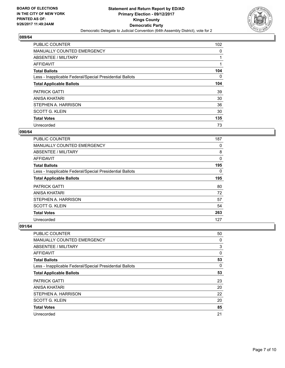

| PUBLIC COUNTER                                           | 102      |
|----------------------------------------------------------|----------|
| <b>MANUALLY COUNTED EMERGENCY</b>                        | 0        |
| ABSENTEE / MILITARY                                      |          |
| AFFIDAVIT                                                |          |
| <b>Total Ballots</b>                                     | 104      |
| Less - Inapplicable Federal/Special Presidential Ballots | $\Omega$ |
| <b>Total Applicable Ballots</b>                          | 104      |
| <b>PATRICK GATTI</b>                                     | 39       |
| ANISA KHATARI                                            | 30       |
| STEPHEN A. HARRISON                                      | 36       |
| <b>SCOTT G. KLEIN</b>                                    | 30       |
| <b>Total Votes</b>                                       | 135      |
| Unrecorded                                               | 73       |

#### **090/64**

| PUBLIC COUNTER                                           | 187      |
|----------------------------------------------------------|----------|
| <b>MANUALLY COUNTED EMERGENCY</b>                        | 0        |
| ABSENTEE / MILITARY                                      | 8        |
| <b>AFFIDAVIT</b>                                         | 0        |
| <b>Total Ballots</b>                                     | 195      |
| Less - Inapplicable Federal/Special Presidential Ballots | $\Omega$ |
| <b>Total Applicable Ballots</b>                          | 195      |
| <b>PATRICK GATTI</b>                                     | 80       |
| ANISA KHATARI                                            | 72       |
| STEPHEN A. HARRISON                                      | 57       |
| <b>SCOTT G. KLEIN</b>                                    | 54       |
| <b>Total Votes</b>                                       | 263      |
| Unrecorded                                               | 127      |

| PUBLIC COUNTER                                           | 50 |
|----------------------------------------------------------|----|
| <b>MANUALLY COUNTED EMERGENCY</b>                        | 0  |
| ABSENTEE / MILITARY                                      | 3  |
| AFFIDAVIT                                                | 0  |
| <b>Total Ballots</b>                                     | 53 |
| Less - Inapplicable Federal/Special Presidential Ballots | 0  |
| <b>Total Applicable Ballots</b>                          | 53 |
| <b>PATRICK GATTI</b>                                     | 23 |
| ANISA KHATARI                                            | 20 |
| STEPHEN A. HARRISON                                      | 22 |
| <b>SCOTT G. KLEIN</b>                                    | 20 |
| <b>Total Votes</b>                                       | 85 |
| Unrecorded                                               | 21 |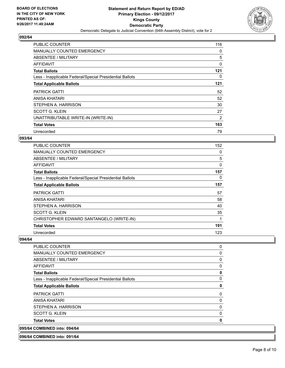

| <b>PUBLIC COUNTER</b>                                    | 116            |
|----------------------------------------------------------|----------------|
| <b>MANUALLY COUNTED EMERGENCY</b>                        | 0              |
| ABSENTEE / MILITARY                                      | 5              |
| AFFIDAVIT                                                | 0              |
| <b>Total Ballots</b>                                     | 121            |
| Less - Inapplicable Federal/Special Presidential Ballots | 0              |
| <b>Total Applicable Ballots</b>                          | 121            |
| <b>PATRICK GATTI</b>                                     | 52             |
| ANISA KHATARI                                            | 52             |
| STEPHEN A. HARRISON                                      | 30             |
| <b>SCOTT G. KLEIN</b>                                    | 27             |
| UNATTRIBUTABLE WRITE-IN (WRITE-IN)                       | $\overline{2}$ |
| <b>Total Votes</b>                                       | 163            |
| Unrecorded                                               | 79             |

#### **093/64**

| PUBLIC COUNTER                                           | 152 |
|----------------------------------------------------------|-----|
| <b>MANUALLY COUNTED EMERGENCY</b>                        | 0   |
| <b>ABSENTEE / MILITARY</b>                               | 5   |
| AFFIDAVIT                                                | 0   |
| <b>Total Ballots</b>                                     | 157 |
| Less - Inapplicable Federal/Special Presidential Ballots | 0   |
| <b>Total Applicable Ballots</b>                          | 157 |
| <b>PATRICK GATTI</b>                                     | 57  |
| ANISA KHATARI                                            | 58  |
| STEPHEN A. HARRISON                                      | 40  |
| <b>SCOTT G. KLEIN</b>                                    | 35  |
| CHRISTOPHER EDWARD SANTANGELO (WRITE-IN)                 | 1   |
| <b>Total Votes</b>                                       | 191 |
| Unrecorded                                               | 123 |

#### **094/64**

| <b>PUBLIC COUNTER</b>                                    | 0           |
|----------------------------------------------------------|-------------|
| <b>MANUALLY COUNTED EMERGENCY</b>                        | 0           |
| ABSENTEE / MILITARY                                      | 0           |
| <b>AFFIDAVIT</b>                                         | 0           |
| <b>Total Ballots</b>                                     | $\mathbf 0$ |
| Less - Inapplicable Federal/Special Presidential Ballots | $\Omega$    |
| <b>Total Applicable Ballots</b>                          | 0           |
| <b>PATRICK GATTI</b>                                     | 0           |
| ANISA KHATARI                                            | 0           |
| STEPHEN A. HARRISON                                      | 0           |
| <b>SCOTT G. KLEIN</b>                                    | 0           |
| <b>Total Votes</b>                                       | 0           |
| 095/64 COMBINED into: 094/64                             |             |

**096/64 COMBINED into: 091/64**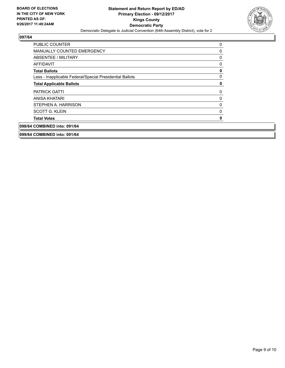

| 098/64 COMBINED into: 091/64                             |   |
|----------------------------------------------------------|---|
| <b>Total Votes</b>                                       | 0 |
| <b>SCOTT G. KLEIN</b>                                    | 0 |
| STEPHEN A. HARRISON                                      | 0 |
| ANISA KHATARI                                            | 0 |
| <b>PATRICK GATTI</b>                                     | 0 |
| <b>Total Applicable Ballots</b>                          | 0 |
| Less - Inapplicable Federal/Special Presidential Ballots | 0 |
| <b>Total Ballots</b>                                     | 0 |
| AFFIDAVIT                                                | 0 |
| ABSENTEE / MILITARY                                      | 0 |
| <b>MANUALLY COUNTED EMERGENCY</b>                        | 0 |
| <b>PUBLIC COUNTER</b>                                    | 0 |